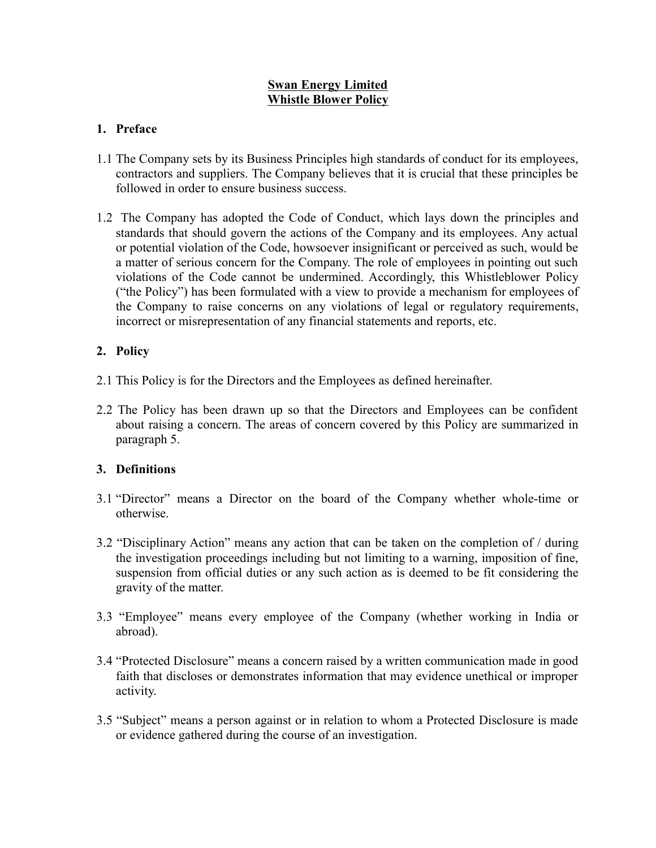## Swan Energy Limited Whistle Blower Policy

## 1. Preface

- 1.1 The Company sets by its Business Principles high standards of conduct for its employees, contractors and suppliers. The Company believes that it is crucial that these principles be followed in order to ensure business success.
- 1.2 The Company has adopted the Code of Conduct, which lays down the principles and standards that should govern the actions of the Company and its employees. Any actual or potential violation of the Code, howsoever insignificant or perceived as such, would be a matter of serious concern for the Company. The role of employees in pointing out such violations of the Code cannot be undermined. Accordingly, this Whistleblower Policy ("the Policy") has been formulated with a view to provide a mechanism for employees of the Company to raise concerns on any violations of legal or regulatory requirements, incorrect or misrepresentation of any financial statements and reports, etc.

# 2. Policy

- 2.1 This Policy is for the Directors and the Employees as defined hereinafter.
- 2.2 The Policy has been drawn up so that the Directors and Employees can be confident about raising a concern. The areas of concern covered by this Policy are summarized in paragraph 5.

## 3. Definitions

- 3.1 "Director" means a Director on the board of the Company whether whole-time or otherwise.
- 3.2 "Disciplinary Action" means any action that can be taken on the completion of / during the investigation proceedings including but not limiting to a warning, imposition of fine, suspension from official duties or any such action as is deemed to be fit considering the gravity of the matter.
- 3.3 "Employee" means every employee of the Company (whether working in India or abroad).
- 3.4 "Protected Disclosure" means a concern raised by a written communication made in good faith that discloses or demonstrates information that may evidence unethical or improper activity.
- 3.5 "Subject" means a person against or in relation to whom a Protected Disclosure is made or evidence gathered during the course of an investigation.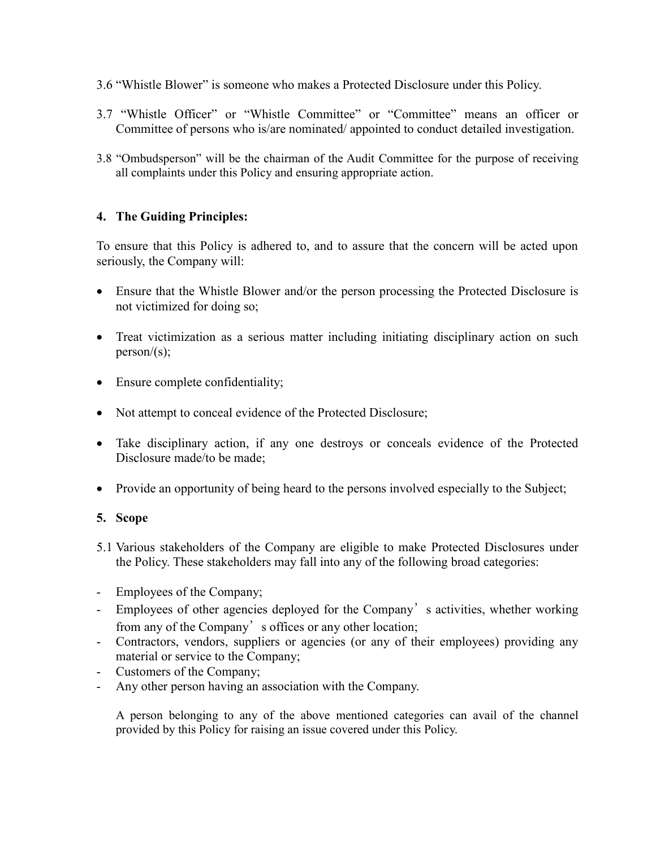- 3.6 "Whistle Blower" is someone who makes a Protected Disclosure under this Policy.
- 3.7 "Whistle Officer" or "Whistle Committee" or "Committee" means an officer or Committee of persons who is/are nominated/ appointed to conduct detailed investigation.
- 3.8 "Ombudsperson" will be the chairman of the Audit Committee for the purpose of receiving all complaints under this Policy and ensuring appropriate action.

## 4. The Guiding Principles:

To ensure that this Policy is adhered to, and to assure that the concern will be acted upon seriously, the Company will:

- Ensure that the Whistle Blower and/or the person processing the Protected Disclosure is not victimized for doing so;
- Treat victimization as a serious matter including initiating disciplinary action on such person/ $(s)$ ;
- Ensure complete confidentiality;
- Not attempt to conceal evidence of the Protected Disclosure;
- Take disciplinary action, if any one destroys or conceals evidence of the Protected Disclosure made/to be made;
- Provide an opportunity of being heard to the persons involved especially to the Subject;

## 5. Scope

- 5.1 Various stakeholders of the Company are eligible to make Protected Disclosures under the Policy. These stakeholders may fall into any of the following broad categories:
- Employees of the Company;
- Employees of other agencies deployed for the Company's activities, whether working from any of the Company's offices or any other location;
- Contractors, vendors, suppliers or agencies (or any of their employees) providing any material or service to the Company;
- Customers of the Company;
- Any other person having an association with the Company.

A person belonging to any of the above mentioned categories can avail of the channel provided by this Policy for raising an issue covered under this Policy.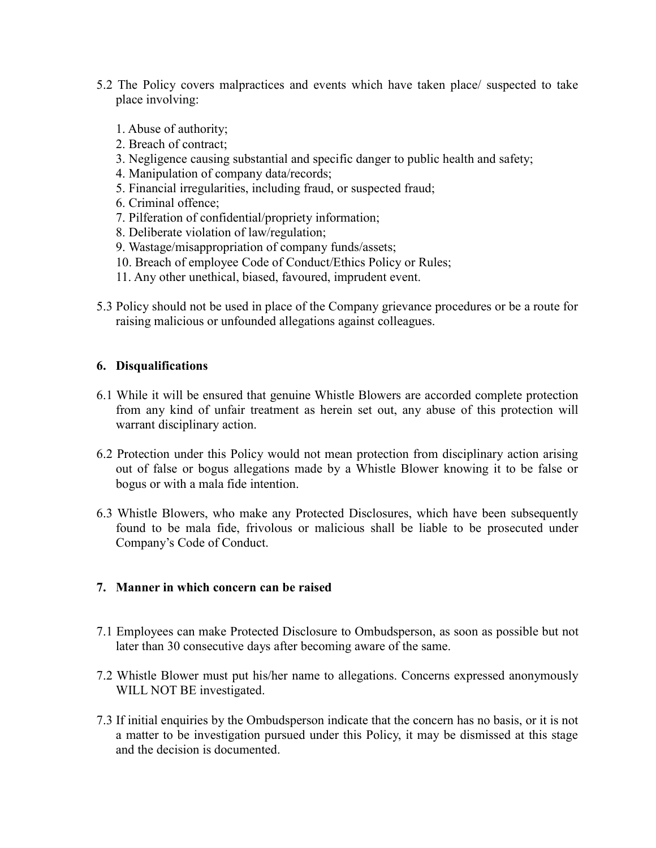- 5.2 The Policy covers malpractices and events which have taken place/ suspected to take place involving:
	- 1. Abuse of authority;
	- 2. Breach of contract;
	- 3. Negligence causing substantial and specific danger to public health and safety;
	- 4. Manipulation of company data/records;
	- 5. Financial irregularities, including fraud, or suspected fraud;
	- 6. Criminal offence;
	- 7. Pilferation of confidential/propriety information;
	- 8. Deliberate violation of law/regulation;
	- 9. Wastage/misappropriation of company funds/assets;
	- 10. Breach of employee Code of Conduct/Ethics Policy or Rules;
	- 11. Any other unethical, biased, favoured, imprudent event.
- 5.3 Policy should not be used in place of the Company grievance procedures or be a route for raising malicious or unfounded allegations against colleagues.

### 6. Disqualifications

- 6.1 While it will be ensured that genuine Whistle Blowers are accorded complete protection from any kind of unfair treatment as herein set out, any abuse of this protection will warrant disciplinary action.
- 6.2 Protection under this Policy would not mean protection from disciplinary action arising out of false or bogus allegations made by a Whistle Blower knowing it to be false or bogus or with a mala fide intention.
- 6.3 Whistle Blowers, who make any Protected Disclosures, which have been subsequently found to be mala fide, frivolous or malicious shall be liable to be prosecuted under Company's Code of Conduct.

#### 7. Manner in which concern can be raised

- 7.1 Employees can make Protected Disclosure to Ombudsperson, as soon as possible but not later than 30 consecutive days after becoming aware of the same.
- 7.2 Whistle Blower must put his/her name to allegations. Concerns expressed anonymously WILL NOT BE investigated.
- 7.3 If initial enquiries by the Ombudsperson indicate that the concern has no basis, or it is not a matter to be investigation pursued under this Policy, it may be dismissed at this stage and the decision is documented.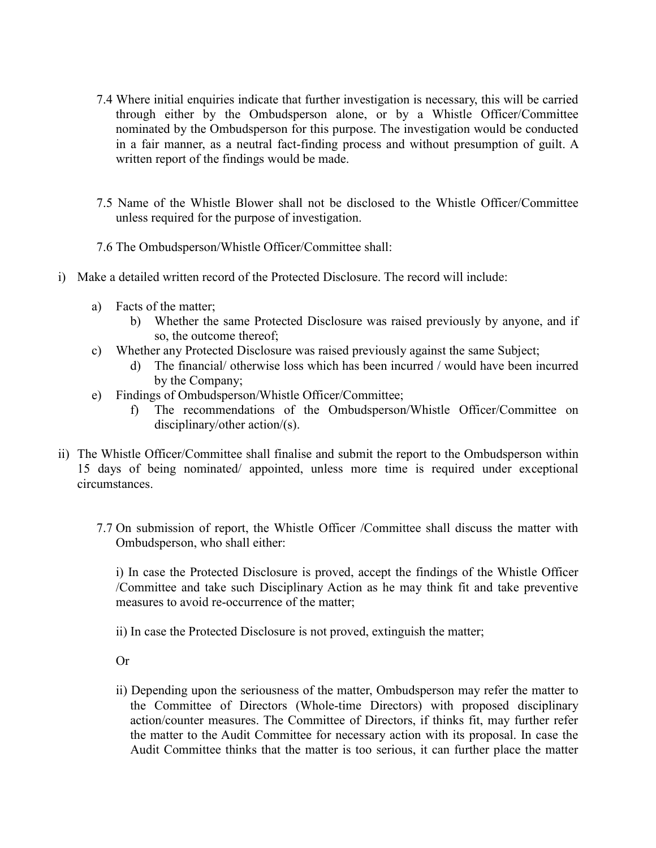- 7.4 Where initial enquiries indicate that further investigation is necessary, this will be carried through either by the Ombudsperson alone, or by a Whistle Officer/Committee nominated by the Ombudsperson for this purpose. The investigation would be conducted in a fair manner, as a neutral fact-finding process and without presumption of guilt. A written report of the findings would be made.
- 7.5 Name of the Whistle Blower shall not be disclosed to the Whistle Officer/Committee unless required for the purpose of investigation.
- 7.6 The Ombudsperson/Whistle Officer/Committee shall:
- i) Make a detailed written record of the Protected Disclosure. The record will include:
	- a) Facts of the matter;
		- b) Whether the same Protected Disclosure was raised previously by anyone, and if so, the outcome thereof;
	- c) Whether any Protected Disclosure was raised previously against the same Subject;
		- d) The financial/ otherwise loss which has been incurred / would have been incurred by the Company;
	- e) Findings of Ombudsperson/Whistle Officer/Committee;
		- f) The recommendations of the Ombudsperson/Whistle Officer/Committee on disciplinary/other action/(s).
- ii) The Whistle Officer/Committee shall finalise and submit the report to the Ombudsperson within 15 days of being nominated/ appointed, unless more time is required under exceptional circumstances.
	- 7.7 On submission of report, the Whistle Officer /Committee shall discuss the matter with Ombudsperson, who shall either:

i) In case the Protected Disclosure is proved, accept the findings of the Whistle Officer /Committee and take such Disciplinary Action as he may think fit and take preventive measures to avoid re-occurrence of the matter;

ii) In case the Protected Disclosure is not proved, extinguish the matter;

Or

ii) Depending upon the seriousness of the matter, Ombudsperson may refer the matter to the Committee of Directors (Whole-time Directors) with proposed disciplinary action/counter measures. The Committee of Directors, if thinks fit, may further refer the matter to the Audit Committee for necessary action with its proposal. In case the Audit Committee thinks that the matter is too serious, it can further place the matter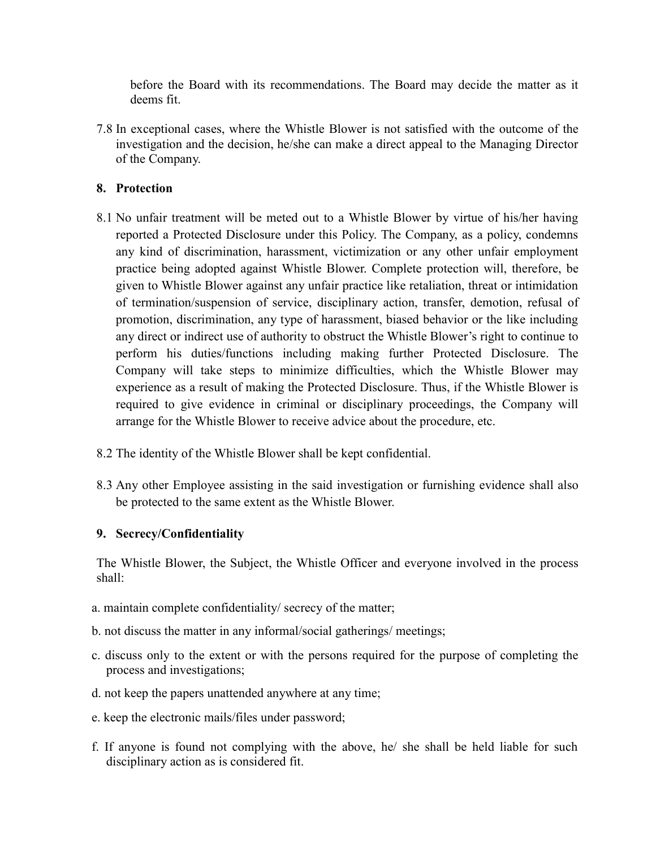before the Board with its recommendations. The Board may decide the matter as it deems fit.

7.8 In exceptional cases, where the Whistle Blower is not satisfied with the outcome of the investigation and the decision, he/she can make a direct appeal to the Managing Director of the Company.

## 8. Protection

- 8.1 No unfair treatment will be meted out to a Whistle Blower by virtue of his/her having reported a Protected Disclosure under this Policy. The Company, as a policy, condemns any kind of discrimination, harassment, victimization or any other unfair employment practice being adopted against Whistle Blower. Complete protection will, therefore, be given to Whistle Blower against any unfair practice like retaliation, threat or intimidation of termination/suspension of service, disciplinary action, transfer, demotion, refusal of promotion, discrimination, any type of harassment, biased behavior or the like including any direct or indirect use of authority to obstruct the Whistle Blower's right to continue to perform his duties/functions including making further Protected Disclosure. The Company will take steps to minimize difficulties, which the Whistle Blower may experience as a result of making the Protected Disclosure. Thus, if the Whistle Blower is required to give evidence in criminal or disciplinary proceedings, the Company will arrange for the Whistle Blower to receive advice about the procedure, etc.
- 8.2 The identity of the Whistle Blower shall be kept confidential.
- 8.3 Any other Employee assisting in the said investigation or furnishing evidence shall also be protected to the same extent as the Whistle Blower.

#### 9. Secrecy/Confidentiality

The Whistle Blower, the Subject, the Whistle Officer and everyone involved in the process shall:

- a. maintain complete confidentiality/ secrecy of the matter;
- b. not discuss the matter in any informal/social gatherings/ meetings;
- c. discuss only to the extent or with the persons required for the purpose of completing the process and investigations;
- d. not keep the papers unattended anywhere at any time;
- e. keep the electronic mails/files under password;
- f. If anyone is found not complying with the above, he/ she shall be held liable for such disciplinary action as is considered fit.